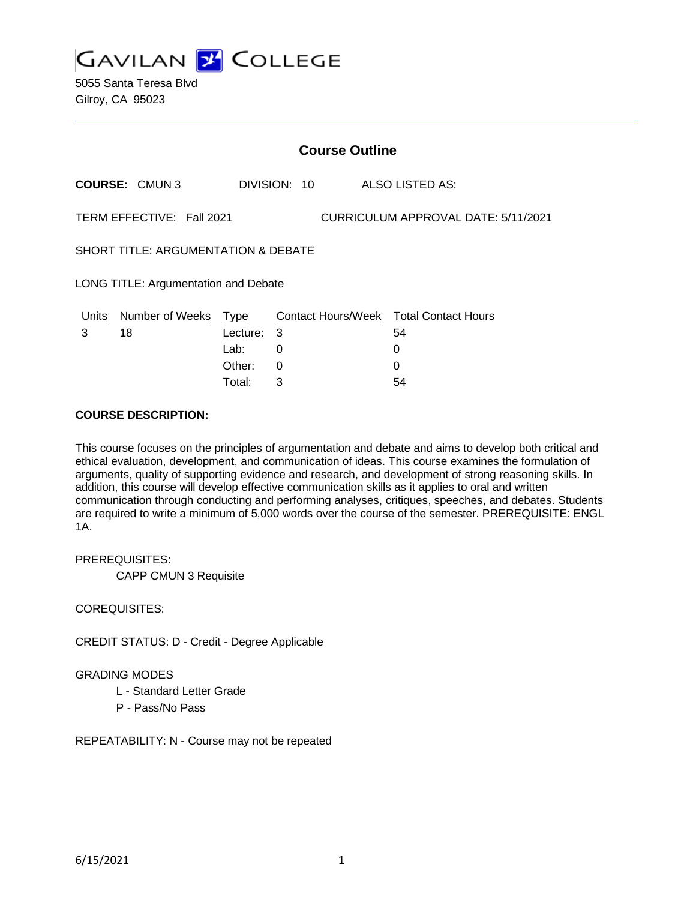

5055 Santa Teresa Blvd Gilroy, CA 95023

| <b>Course Outline</b>                                            |                            |            |              |  |                                               |
|------------------------------------------------------------------|----------------------------|------------|--------------|--|-----------------------------------------------|
|                                                                  | <b>COURSE: CMUN3</b>       |            | DIVISION: 10 |  | ALSO LISTED AS:                               |
| TERM EFFECTIVE: Fall 2021<br>CURRICULUM APPROVAL DATE: 5/11/2021 |                            |            |              |  |                                               |
| SHORT TITLE: ARGUMENTATION & DEBATE                              |                            |            |              |  |                                               |
| LONG TITLE: Argumentation and Debate                             |                            |            |              |  |                                               |
|                                                                  | Units Number of Weeks Type |            |              |  | <b>Contact Hours/Week Total Contact Hours</b> |
| 3                                                                | 18                         | Lecture: 3 |              |  | 54                                            |
|                                                                  |                            | Lab:       | 0            |  | 0                                             |
|                                                                  |                            | Other:     | 0            |  | 0                                             |
|                                                                  |                            | Total:     | 3            |  | 54                                            |

### **COURSE DESCRIPTION:**

This course focuses on the principles of argumentation and debate and aims to develop both critical and ethical evaluation, development, and communication of ideas. This course examines the formulation of arguments, quality of supporting evidence and research, and development of strong reasoning skills. In addition, this course will develop effective communication skills as it applies to oral and written communication through conducting and performing analyses, critiques, speeches, and debates. Students are required to write a minimum of 5,000 words over the course of the semester. PREREQUISITE: ENGL 1A.

## PREREQUISITES:

CAPP CMUN 3 Requisite

#### COREQUISITES:

CREDIT STATUS: D - Credit - Degree Applicable

## GRADING MODES

- L Standard Letter Grade
- P Pass/No Pass

REPEATABILITY: N - Course may not be repeated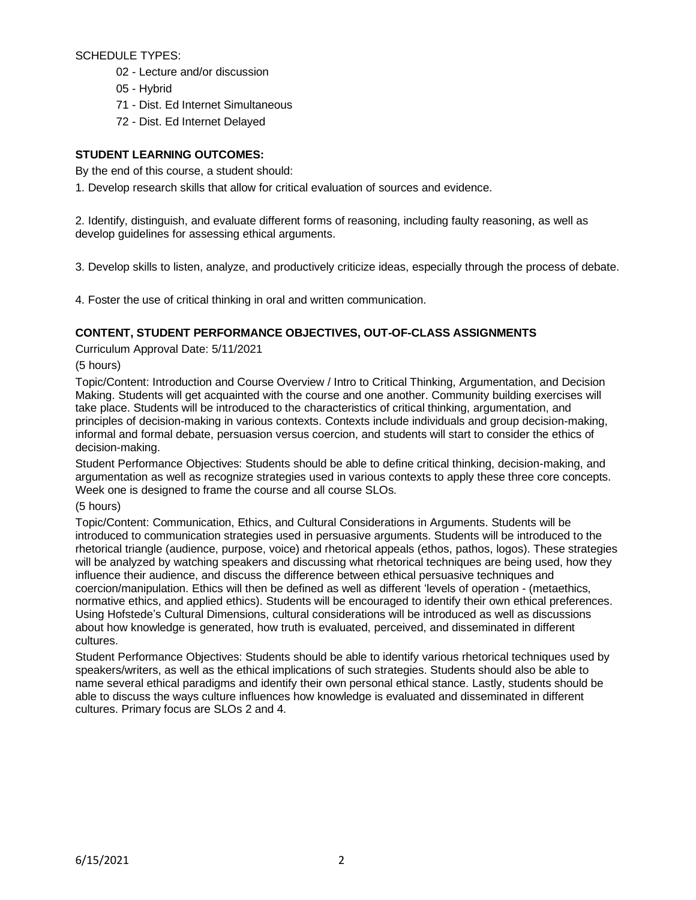SCHEDULE TYPES:

- 02 Lecture and/or discussion
- 05 Hybrid
- 71 Dist. Ed Internet Simultaneous
- 72 Dist. Ed Internet Delayed

# **STUDENT LEARNING OUTCOMES:**

By the end of this course, a student should:

1. Develop research skills that allow for critical evaluation of sources and evidence.

2. Identify, distinguish, and evaluate different forms of reasoning, including faulty reasoning, as well as develop guidelines for assessing ethical arguments.

3. Develop skills to listen, analyze, and productively criticize ideas, especially through the process of debate.

4. Foster the use of critical thinking in oral and written communication.

# **CONTENT, STUDENT PERFORMANCE OBJECTIVES, OUT-OF-CLASS ASSIGNMENTS**

Curriculum Approval Date: 5/11/2021

(5 hours)

Topic/Content: Introduction and Course Overview / Intro to Critical Thinking, Argumentation, and Decision Making. Students will get acquainted with the course and one another. Community building exercises will take place. Students will be introduced to the characteristics of critical thinking, argumentation, and principles of decision-making in various contexts. Contexts include individuals and group decision-making, informal and formal debate, persuasion versus coercion, and students will start to consider the ethics of decision-making.

Student Performance Objectives: Students should be able to define critical thinking, decision-making, and argumentation as well as recognize strategies used in various contexts to apply these three core concepts. Week one is designed to frame the course and all course SLOs.

## (5 hours)

Topic/Content: Communication, Ethics, and Cultural Considerations in Arguments. Students will be introduced to communication strategies used in persuasive arguments. Students will be introduced to the rhetorical triangle (audience, purpose, voice) and rhetorical appeals (ethos, pathos, logos). These strategies will be analyzed by watching speakers and discussing what rhetorical techniques are being used, how they influence their audience, and discuss the difference between ethical persuasive techniques and coercion/manipulation. Ethics will then be defined as well as different 'levels of operation - (metaethics, normative ethics, and applied ethics). Students will be encouraged to identify their own ethical preferences. Using Hofstede's Cultural Dimensions, cultural considerations will be introduced as well as discussions about how knowledge is generated, how truth is evaluated, perceived, and disseminated in different cultures.

Student Performance Objectives: Students should be able to identify various rhetorical techniques used by speakers/writers, as well as the ethical implications of such strategies. Students should also be able to name several ethical paradigms and identify their own personal ethical stance. Lastly, students should be able to discuss the ways culture influences how knowledge is evaluated and disseminated in different cultures. Primary focus are SLOs 2 and 4.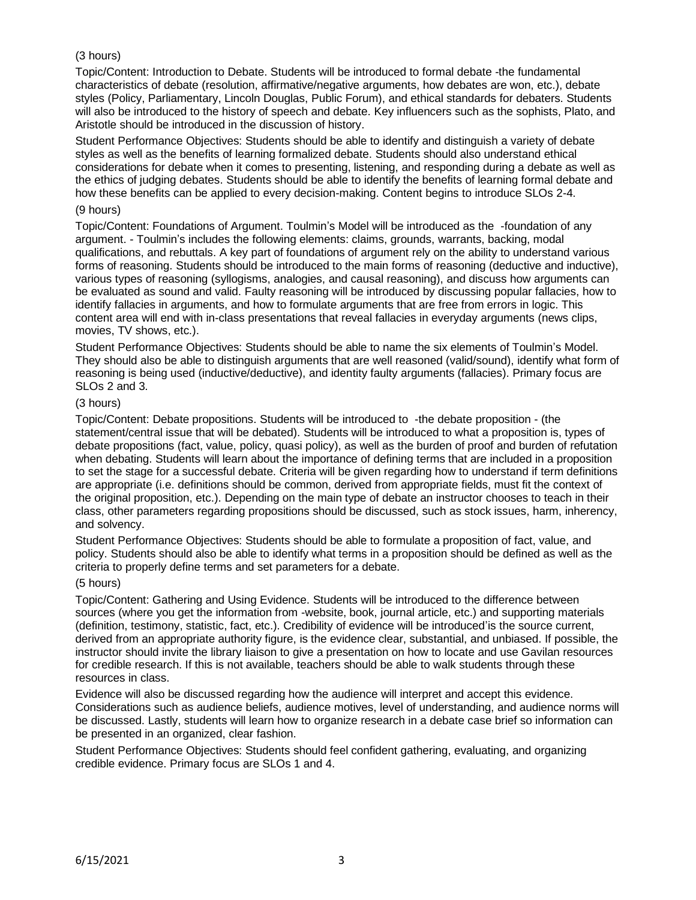# (3 hours)

Topic/Content: Introduction to Debate. Students will be introduced to formal debate -the fundamental characteristics of debate (resolution, affirmative/negative arguments, how debates are won, etc.), debate styles (Policy, Parliamentary, Lincoln Douglas, Public Forum), and ethical standards for debaters. Students will also be introduced to the history of speech and debate. Key influencers such as the sophists, Plato, and Aristotle should be introduced in the discussion of history.

Student Performance Objectives: Students should be able to identify and distinguish a variety of debate styles as well as the benefits of learning formalized debate. Students should also understand ethical considerations for debate when it comes to presenting, listening, and responding during a debate as well as the ethics of judging debates. Students should be able to identify the benefits of learning formal debate and how these benefits can be applied to every decision-making. Content begins to introduce SLOs 2-4.

### (9 hours)

Topic/Content: Foundations of Argument. Toulmin's Model will be introduced as the -foundation of any argument. - Toulmin's includes the following elements: claims, grounds, warrants, backing, modal qualifications, and rebuttals. A key part of foundations of argument rely on the ability to understand various forms of reasoning. Students should be introduced to the main forms of reasoning (deductive and inductive), various types of reasoning (syllogisms, analogies, and causal reasoning), and discuss how arguments can be evaluated as sound and valid. Faulty reasoning will be introduced by discussing popular fallacies, how to identify fallacies in arguments, and how to formulate arguments that are free from errors in logic. This content area will end with in-class presentations that reveal fallacies in everyday arguments (news clips, movies, TV shows, etc.).

Student Performance Objectives: Students should be able to name the six elements of Toulmin's Model. They should also be able to distinguish arguments that are well reasoned (valid/sound), identify what form of reasoning is being used (inductive/deductive), and identity faulty arguments (fallacies). Primary focus are SLOs 2 and 3.

### (3 hours)

Topic/Content: Debate propositions. Students will be introduced to -the debate proposition - (the statement/central issue that will be debated). Students will be introduced to what a proposition is, types of debate propositions (fact, value, policy, quasi policy), as well as the burden of proof and burden of refutation when debating. Students will learn about the importance of defining terms that are included in a proposition to set the stage for a successful debate. Criteria will be given regarding how to understand if term definitions are appropriate (i.e. definitions should be common, derived from appropriate fields, must fit the context of the original proposition, etc.). Depending on the main type of debate an instructor chooses to teach in their class, other parameters regarding propositions should be discussed, such as stock issues, harm, inherency, and solvency.

Student Performance Objectives: Students should be able to formulate a proposition of fact, value, and policy. Students should also be able to identify what terms in a proposition should be defined as well as the criteria to properly define terms and set parameters for a debate.

## (5 hours)

Topic/Content: Gathering and Using Evidence. Students will be introduced to the difference between sources (where you get the information from -website, book, journal article, etc.) and supporting materials (definition, testimony, statistic, fact, etc.). Credibility of evidence will be introduced'is the source current, derived from an appropriate authority figure, is the evidence clear, substantial, and unbiased. If possible, the instructor should invite the library liaison to give a presentation on how to locate and use Gavilan resources for credible research. If this is not available, teachers should be able to walk students through these resources in class.

Evidence will also be discussed regarding how the audience will interpret and accept this evidence. Considerations such as audience beliefs, audience motives, level of understanding, and audience norms will be discussed. Lastly, students will learn how to organize research in a debate case brief so information can be presented in an organized, clear fashion.

Student Performance Objectives: Students should feel confident gathering, evaluating, and organizing credible evidence. Primary focus are SLOs 1 and 4.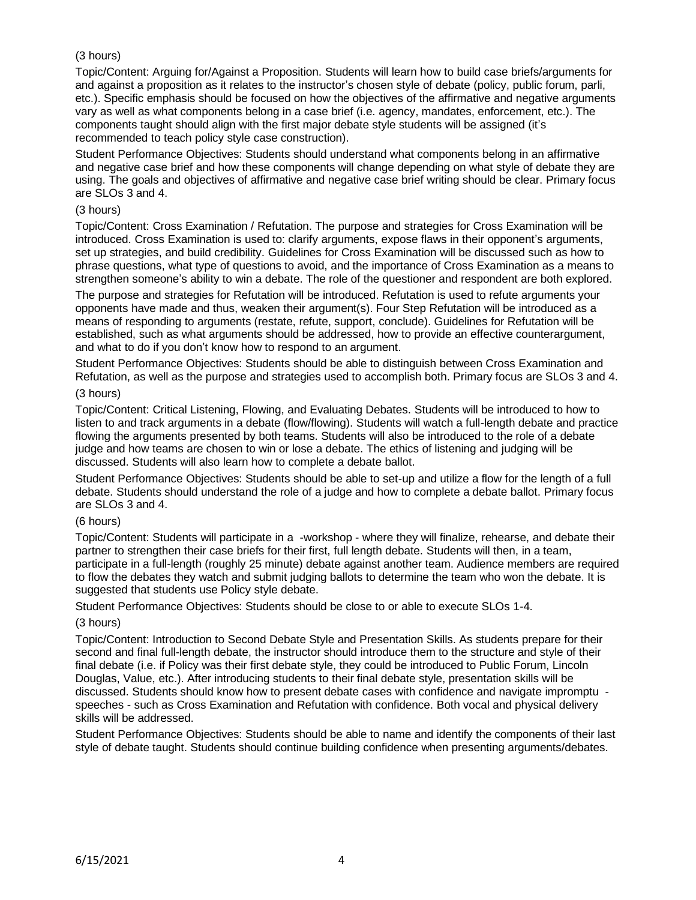# (3 hours)

Topic/Content: Arguing for/Against a Proposition. Students will learn how to build case briefs/arguments for and against a proposition as it relates to the instructor's chosen style of debate (policy, public forum, parli, etc.). Specific emphasis should be focused on how the objectives of the affirmative and negative arguments vary as well as what components belong in a case brief (i.e. agency, mandates, enforcement, etc.). The components taught should align with the first major debate style students will be assigned (it's recommended to teach policy style case construction).

Student Performance Objectives: Students should understand what components belong in an affirmative and negative case brief and how these components will change depending on what style of debate they are using. The goals and objectives of affirmative and negative case brief writing should be clear. Primary focus are SLOs 3 and 4.

### (3 hours)

Topic/Content: Cross Examination / Refutation. The purpose and strategies for Cross Examination will be introduced. Cross Examination is used to: clarify arguments, expose flaws in their opponent's arguments, set up strategies, and build credibility. Guidelines for Cross Examination will be discussed such as how to phrase questions, what type of questions to avoid, and the importance of Cross Examination as a means to strengthen someone's ability to win a debate. The role of the questioner and respondent are both explored.

The purpose and strategies for Refutation will be introduced. Refutation is used to refute arguments your opponents have made and thus, weaken their argument(s). Four Step Refutation will be introduced as a means of responding to arguments (restate, refute, support, conclude). Guidelines for Refutation will be established, such as what arguments should be addressed, how to provide an effective counterargument, and what to do if you don't know how to respond to an argument.

Student Performance Objectives: Students should be able to distinguish between Cross Examination and Refutation, as well as the purpose and strategies used to accomplish both. Primary focus are SLOs 3 and 4.

# (3 hours)

Topic/Content: Critical Listening, Flowing, and Evaluating Debates. Students will be introduced to how to listen to and track arguments in a debate (flow/flowing). Students will watch a full-length debate and practice flowing the arguments presented by both teams. Students will also be introduced to the role of a debate judge and how teams are chosen to win or lose a debate. The ethics of listening and judging will be discussed. Students will also learn how to complete a debate ballot.

Student Performance Objectives: Students should be able to set-up and utilize a flow for the length of a full debate. Students should understand the role of a judge and how to complete a debate ballot. Primary focus are SLOs 3 and 4.

## (6 hours)

Topic/Content: Students will participate in a -workshop - where they will finalize, rehearse, and debate their partner to strengthen their case briefs for their first, full length debate. Students will then, in a team, participate in a full-length (roughly 25 minute) debate against another team. Audience members are required to flow the debates they watch and submit judging ballots to determine the team who won the debate. It is suggested that students use Policy style debate.

Student Performance Objectives: Students should be close to or able to execute SLOs 1-4.

#### (3 hours)

Topic/Content: Introduction to Second Debate Style and Presentation Skills. As students prepare for their second and final full-length debate, the instructor should introduce them to the structure and style of their final debate (i.e. if Policy was their first debate style, they could be introduced to Public Forum, Lincoln Douglas, Value, etc.). After introducing students to their final debate style, presentation skills will be discussed. Students should know how to present debate cases with confidence and navigate impromptu speeches - such as Cross Examination and Refutation with confidence. Both vocal and physical delivery skills will be addressed.

Student Performance Objectives: Students should be able to name and identify the components of their last style of debate taught. Students should continue building confidence when presenting arguments/debates.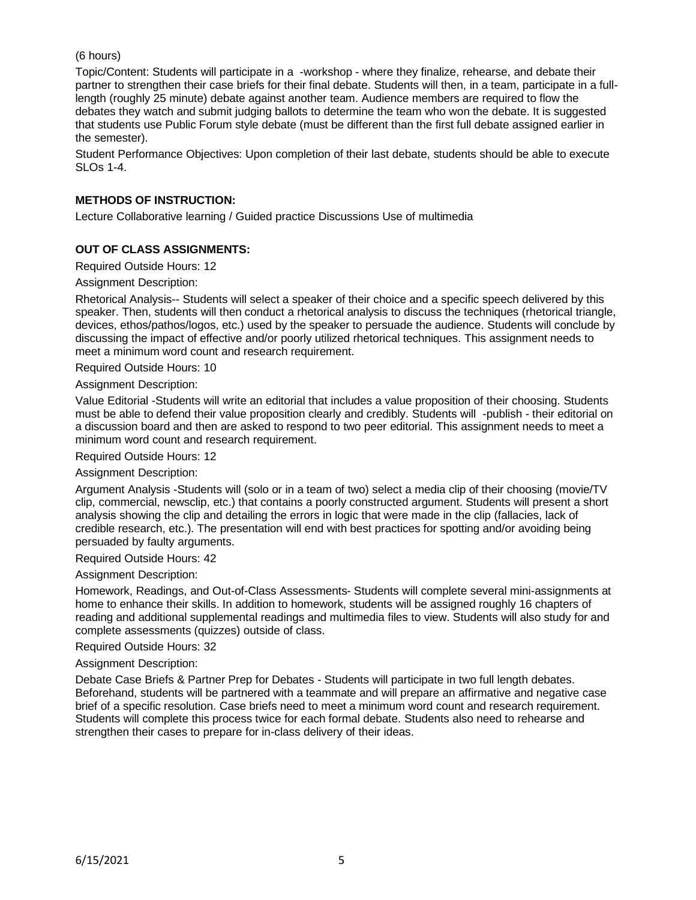## (6 hours)

Topic/Content: Students will participate in a -workshop - where they finalize, rehearse, and debate their partner to strengthen their case briefs for their final debate. Students will then, in a team, participate in a fulllength (roughly 25 minute) debate against another team. Audience members are required to flow the debates they watch and submit judging ballots to determine the team who won the debate. It is suggested that students use Public Forum style debate (must be different than the first full debate assigned earlier in the semester).

Student Performance Objectives: Upon completion of their last debate, students should be able to execute SLOs 1-4.

# **METHODS OF INSTRUCTION:**

Lecture Collaborative learning / Guided practice Discussions Use of multimedia

## **OUT OF CLASS ASSIGNMENTS:**

Required Outside Hours: 12

### Assignment Description:

Rhetorical Analysis-- Students will select a speaker of their choice and a specific speech delivered by this speaker. Then, students will then conduct a rhetorical analysis to discuss the techniques (rhetorical triangle, devices, ethos/pathos/logos, etc.) used by the speaker to persuade the audience. Students will conclude by discussing the impact of effective and/or poorly utilized rhetorical techniques. This assignment needs to meet a minimum word count and research requirement.

Required Outside Hours: 10

#### Assignment Description:

Value Editorial -Students will write an editorial that includes a value proposition of their choosing. Students must be able to defend their value proposition clearly and credibly. Students will -publish - their editorial on a discussion board and then are asked to respond to two peer editorial. This assignment needs to meet a minimum word count and research requirement.

Required Outside Hours: 12

#### Assignment Description:

Argument Analysis -Students will (solo or in a team of two) select a media clip of their choosing (movie/TV clip, commercial, newsclip, etc.) that contains a poorly constructed argument. Students will present a short analysis showing the clip and detailing the errors in logic that were made in the clip (fallacies, lack of credible research, etc.). The presentation will end with best practices for spotting and/or avoiding being persuaded by faulty arguments.

#### Required Outside Hours: 42

#### Assignment Description:

Homework, Readings, and Out-of-Class Assessments- Students will complete several mini-assignments at home to enhance their skills. In addition to homework, students will be assigned roughly 16 chapters of reading and additional supplemental readings and multimedia files to view. Students will also study for and complete assessments (quizzes) outside of class.

#### Required Outside Hours: 32

#### Assignment Description:

Debate Case Briefs & Partner Prep for Debates - Students will participate in two full length debates. Beforehand, students will be partnered with a teammate and will prepare an affirmative and negative case brief of a specific resolution. Case briefs need to meet a minimum word count and research requirement. Students will complete this process twice for each formal debate. Students also need to rehearse and strengthen their cases to prepare for in-class delivery of their ideas.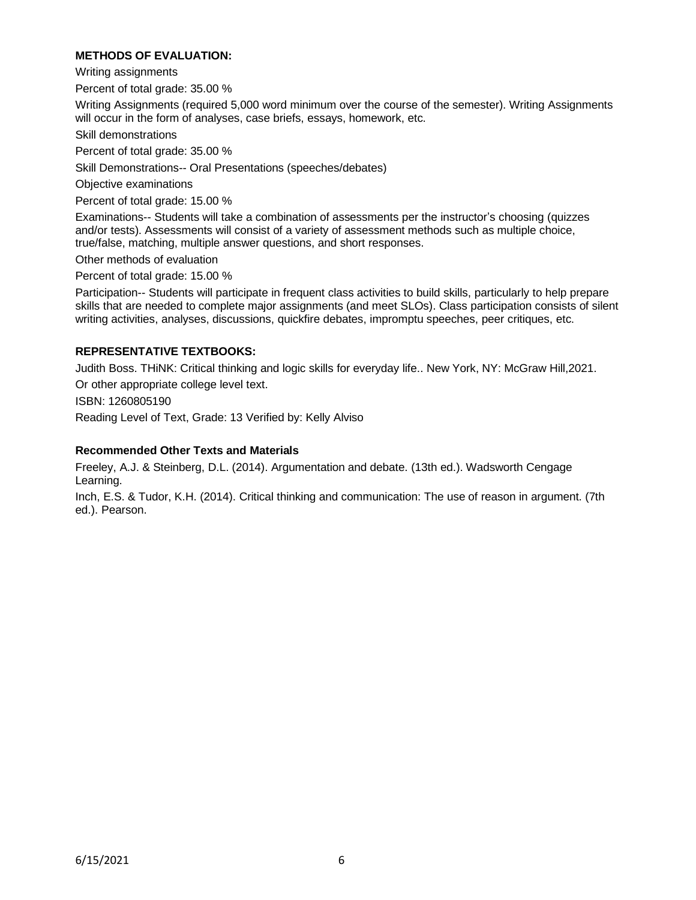# **METHODS OF EVALUATION:**

Writing assignments

Percent of total grade: 35.00 %

Writing Assignments (required 5,000 word minimum over the course of the semester). Writing Assignments will occur in the form of analyses, case briefs, essays, homework, etc.

Skill demonstrations

Percent of total grade: 35.00 %

Skill Demonstrations-- Oral Presentations (speeches/debates)

Objective examinations

Percent of total grade: 15.00 %

Examinations-- Students will take a combination of assessments per the instructor's choosing (quizzes and/or tests). Assessments will consist of a variety of assessment methods such as multiple choice, true/false, matching, multiple answer questions, and short responses.

Other methods of evaluation

Percent of total grade: 15.00 %

Participation-- Students will participate in frequent class activities to build skills, particularly to help prepare skills that are needed to complete major assignments (and meet SLOs). Class participation consists of silent writing activities, analyses, discussions, quickfire debates, impromptu speeches, peer critiques, etc.

### **REPRESENTATIVE TEXTBOOKS:**

Judith Boss. THiNK: Critical thinking and logic skills for everyday life.. New York, NY: McGraw Hill,2021.

Or other appropriate college level text.

ISBN: 1260805190

Reading Level of Text, Grade: 13 Verified by: Kelly Alviso

#### **Recommended Other Texts and Materials**

Freeley, A.J. & Steinberg, D.L. (2014). Argumentation and debate. (13th ed.). Wadsworth Cengage Learning.

Inch, E.S. & Tudor, K.H. (2014). Critical thinking and communication: The use of reason in argument. (7th ed.). Pearson.